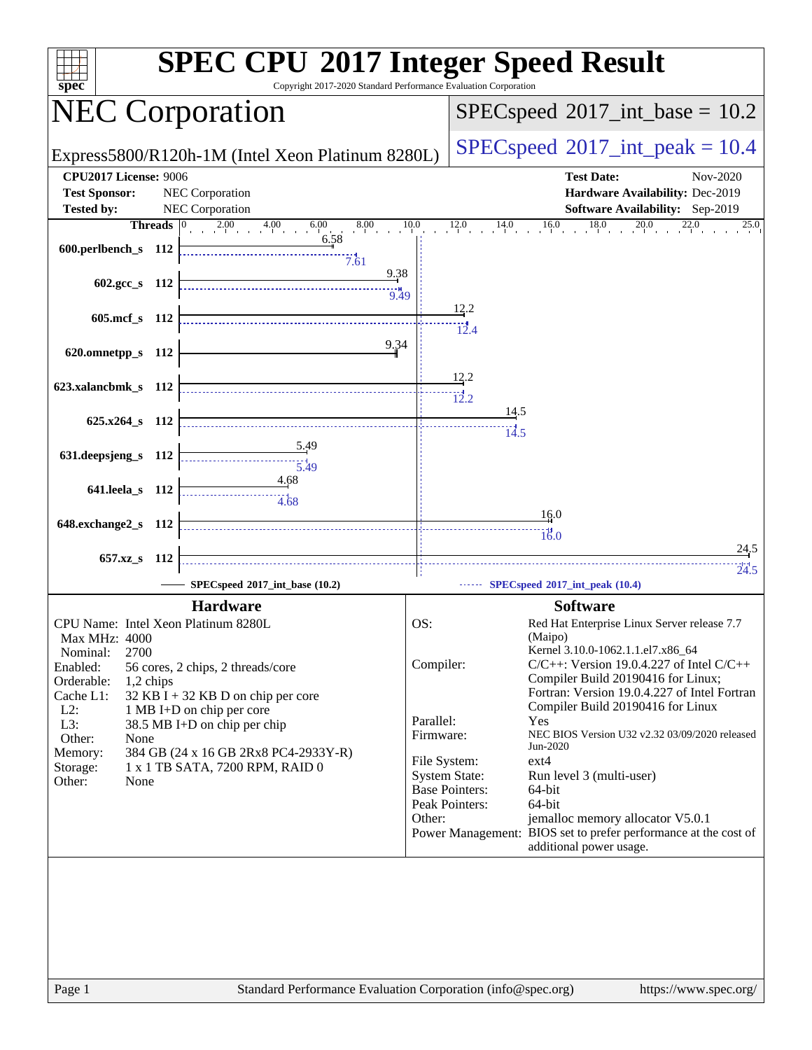| $spec^*$                            | <b>SPEC CPU®2017 Integer Speed Result</b><br>Copyright 2017-2020 Standard Performance Evaluation Corporation  |                                            |                       |                                                                                                     |  |  |
|-------------------------------------|---------------------------------------------------------------------------------------------------------------|--------------------------------------------|-----------------------|-----------------------------------------------------------------------------------------------------|--|--|
|                                     | <b>NEC Corporation</b>                                                                                        | $SPEC speed^{\circ}2017\_int\_base = 10.2$ |                       |                                                                                                     |  |  |
|                                     | Express5800/R120h-1M (Intel Xeon Platinum 8280L)                                                              |                                            |                       | $SPEC speed^{\circ}2017\_int\_peak = 10.4$                                                          |  |  |
| <b>CPU2017 License: 9006</b>        |                                                                                                               |                                            |                       | <b>Test Date:</b><br>Nov-2020                                                                       |  |  |
| <b>Test Sponsor:</b>                | NEC Corporation                                                                                               |                                            |                       | Hardware Availability: Dec-2019                                                                     |  |  |
| <b>Tested by:</b>                   | NEC Corporation                                                                                               |                                            |                       | <b>Software Availability:</b> Sep-2019                                                              |  |  |
|                                     | <b>Threads</b> $\begin{array}{ c c c c c }\n\hline\n2.00 & 4.00 & 6.00 & 8.00 \\ \hline\n\end{array}$<br>6.58 | 10.0                                       |                       | $12.0$ $14.0$ $16.0$ $18.0$ $20.0$ $22.0$<br>25.0                                                   |  |  |
| 600.perlbench_s 112                 | 7.61                                                                                                          |                                            |                       |                                                                                                     |  |  |
|                                     | 9.38                                                                                                          |                                            |                       |                                                                                                     |  |  |
| $602.\text{gcc}\,s$ 112             | 9.49                                                                                                          |                                            |                       |                                                                                                     |  |  |
|                                     |                                                                                                               |                                            | 12.2                  |                                                                                                     |  |  |
| 605.mcf_s 112                       |                                                                                                               |                                            | $\frac{1}{12.4}$      |                                                                                                     |  |  |
| 620.omnetpp_s 112                   | 9.34                                                                                                          |                                            |                       |                                                                                                     |  |  |
|                                     |                                                                                                               |                                            |                       |                                                                                                     |  |  |
| 623.xalancbmk_s 112                 |                                                                                                               |                                            | 12.2                  |                                                                                                     |  |  |
|                                     |                                                                                                               |                                            | 12.2                  |                                                                                                     |  |  |
| 625.x264_s 112                      |                                                                                                               |                                            | 14.5                  |                                                                                                     |  |  |
|                                     |                                                                                                               |                                            | $\dddot{14.5}$        |                                                                                                     |  |  |
| 631.deepsjeng_s 112                 | <u>5.49</u><br>$\frac{11}{5.49}$                                                                              |                                            |                       |                                                                                                     |  |  |
|                                     | 4.68                                                                                                          |                                            |                       |                                                                                                     |  |  |
| 641.leela_s 112                     | 4.68                                                                                                          |                                            |                       |                                                                                                     |  |  |
|                                     |                                                                                                               |                                            |                       | 16.0                                                                                                |  |  |
| 648.exchange2_s 112                 |                                                                                                               |                                            |                       | 16.0                                                                                                |  |  |
| 657.xz_s 112                        |                                                                                                               |                                            |                       | <u>24.5</u>                                                                                         |  |  |
|                                     |                                                                                                               |                                            |                       | 24.5                                                                                                |  |  |
|                                     | SPECspeed®2017_int_base (10.2)                                                                                |                                            |                       | SPECspeed®2017_int_peak (10.4)                                                                      |  |  |
|                                     | <b>Hardware</b>                                                                                               |                                            |                       | <b>Software</b>                                                                                     |  |  |
| CPU Name: Intel Xeon Platinum 8280L |                                                                                                               | OS:                                        |                       | Red Hat Enterprise Linux Server release 7.7                                                         |  |  |
| Max MHz: 4000                       |                                                                                                               |                                            |                       | (Maipo)<br>Kernel 3.10.0-1062.1.1.el7.x86_64                                                        |  |  |
| 2700<br>Nominal:<br>Enabled:        | 56 cores, 2 chips, 2 threads/core                                                                             | Compiler:                                  |                       | $C/C++$ : Version 19.0.4.227 of Intel $C/C++$                                                       |  |  |
| Orderable:<br>1,2 chips             |                                                                                                               |                                            |                       | Compiler Build 20190416 for Linux;                                                                  |  |  |
| Cache L1:                           | 32 KB I + 32 KB D on chip per core                                                                            |                                            |                       | Fortran: Version 19.0.4.227 of Intel Fortran<br>Compiler Build 20190416 for Linux                   |  |  |
| $L2$ :<br>$L3$ :                    | 1 MB I+D on chip per core<br>38.5 MB I+D on chip per chip                                                     | Parallel:                                  |                       | Yes                                                                                                 |  |  |
| Other:<br>None                      |                                                                                                               | Firmware:                                  |                       | NEC BIOS Version U32 v2.32 03/09/2020 released                                                      |  |  |
| Memory:                             | 384 GB (24 x 16 GB 2Rx8 PC4-2933Y-R)                                                                          | File System:                               |                       | Jun-2020<br>ext4                                                                                    |  |  |
| Storage:<br>Other:                  | 1 x 1 TB SATA, 7200 RPM, RAID 0                                                                               |                                            | <b>System State:</b>  | Run level 3 (multi-user)                                                                            |  |  |
| None                                |                                                                                                               |                                            | <b>Base Pointers:</b> | 64-bit                                                                                              |  |  |
|                                     |                                                                                                               |                                            | Peak Pointers:        | 64-bit                                                                                              |  |  |
|                                     |                                                                                                               | Other:                                     |                       | jemalloc memory allocator V5.0.1<br>Power Management: BIOS set to prefer performance at the cost of |  |  |
|                                     |                                                                                                               |                                            |                       | additional power usage.                                                                             |  |  |
|                                     |                                                                                                               |                                            |                       |                                                                                                     |  |  |
| Page 1                              | Standard Performance Evaluation Corporation (info@spec.org)                                                   |                                            |                       | https://www.spec.org/                                                                               |  |  |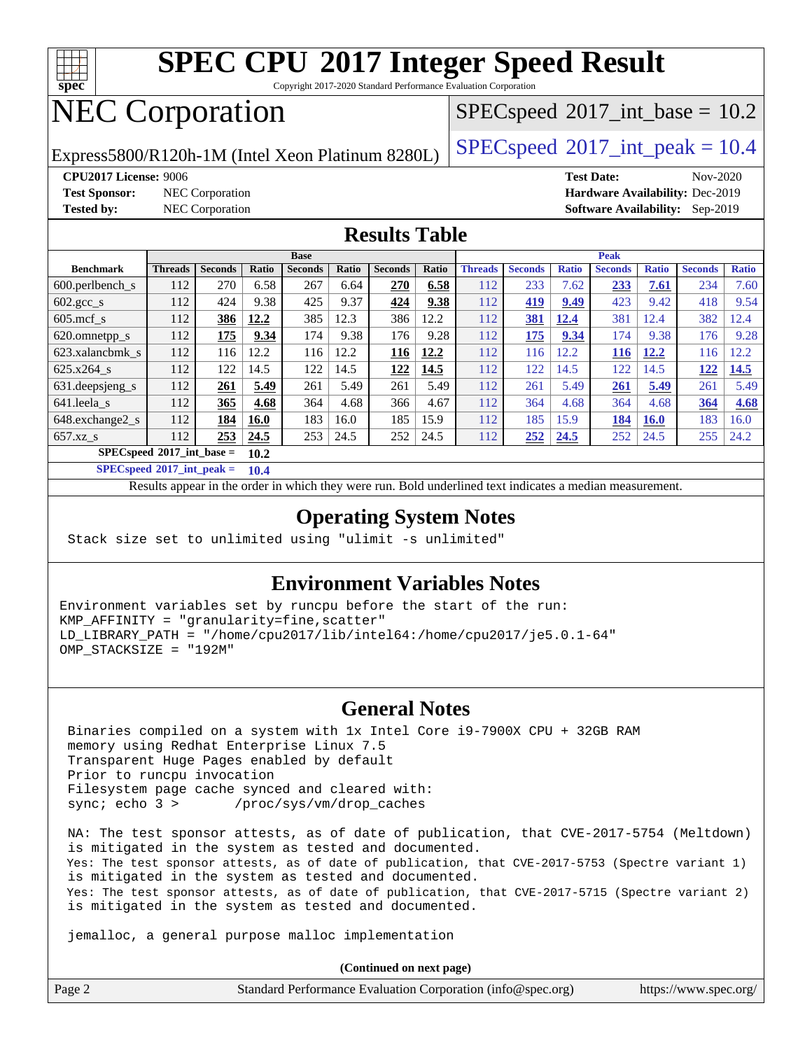

Copyright 2017-2020 Standard Performance Evaluation Corporation

# NEC Corporation

 $SPECspeed^{\circledcirc}2017\_int\_base = 10.2$  $SPECspeed^{\circledcirc}2017\_int\_base = 10.2$ 

Express5800/R120h-1M (Intel Xeon Platinum 8280L)  $\left|$  [SPECspeed](http://www.spec.org/auto/cpu2017/Docs/result-fields.html#SPECspeed2017intpeak)®[2017\\_int\\_peak = 1](http://www.spec.org/auto/cpu2017/Docs/result-fields.html#SPECspeed2017intpeak)0.4

**[Test Sponsor:](http://www.spec.org/auto/cpu2017/Docs/result-fields.html#TestSponsor)** NEC Corporation **[Hardware Availability:](http://www.spec.org/auto/cpu2017/Docs/result-fields.html#HardwareAvailability)** Dec-2019

**[CPU2017 License:](http://www.spec.org/auto/cpu2017/Docs/result-fields.html#CPU2017License)** 9006 **[Test Date:](http://www.spec.org/auto/cpu2017/Docs/result-fields.html#TestDate)** Nov-2020 **[Tested by:](http://www.spec.org/auto/cpu2017/Docs/result-fields.html#Testedby)** NEC Corporation **[Software Availability:](http://www.spec.org/auto/cpu2017/Docs/result-fields.html#SoftwareAvailability)** Sep-2019

### **[Results Table](http://www.spec.org/auto/cpu2017/Docs/result-fields.html#ResultsTable)**

|                                            | <b>Base</b>    |                |             |                |       |                | <b>Peak</b> |                |                |              |                |              |                |              |
|--------------------------------------------|----------------|----------------|-------------|----------------|-------|----------------|-------------|----------------|----------------|--------------|----------------|--------------|----------------|--------------|
| <b>Benchmark</b>                           | <b>Threads</b> | <b>Seconds</b> | Ratio       | <b>Seconds</b> | Ratio | <b>Seconds</b> | Ratio       | <b>Threads</b> | <b>Seconds</b> | <b>Ratio</b> | <b>Seconds</b> | <b>Ratio</b> | <b>Seconds</b> | <b>Ratio</b> |
| $600.$ perlbench $\mathsf{S}$              | 112            | 270            | 6.58        | 267            | 6.64  | 270            | 6.58        | 112            | 233            | 7.62         | 233            | 7.61         | 234            | 7.60         |
| $602.\text{gcc}\_\text{s}$                 | 112            | 424            | 9.38        | 425            | 9.37  | 424            | 9.38        | 112            | 419            | 9.49         | 423            | 9.42         | 418            | 9.54         |
| $605$ .mcf s                               | 112            | 386            | 12.2        | 385            | 12.3  | 386            | 12.2        | 112            | 381            | 12.4         | 381            | 12.4         | 382            | 12.4         |
| 620.omnetpp_s                              | 112            | 175            | 9.34        | 174            | 9.38  | 176            | 9.28        | 112            | 175            | 9.34         | 174            | 9.38         | 176            | 9.28         |
| 623.xalancbmk s                            | 112            | 116            | 12.2        | 116            | 12.2  | 116            | 12.2        | 112            | 116            | 12.2         | 116            | 12.2         | 116            | 2.2          |
| 625.x264 s                                 | 112            | 122            | 14.5        | 122            | 14.5  | 122            | 14.5        | 112            | 122            | 14.5         | 122            | 14.5         | 122            | 14.5         |
| 631.deepsjeng_s                            | 112            | 261            | 5.49        | 261            | 5.49  | 261            | 5.49        | 112            | 261            | 5.49         | 261            | 5.49         | 261            | 5.49         |
| 641.leela s                                | 112            | 365            | 4.68        | 364            | 4.68  | 366            | 4.67        | 112            | 364            | 4.68         | 364            | 4.68         | 364            | 4.68         |
| 648.exchange2_s                            | 112            | 184            | <b>16.0</b> | 183            | 16.0  | 185            | 15.9        | 112            | 185            | 15.9         | 184            | <b>16.0</b>  | 183            | 16.0         |
| $657.xz$ s                                 | 112            | 253            | 24.5        | 253            | 24.5  | 252            | 24.5        | 112            | 252            | 24.5         | 252            | 24.5         | 255            | 24.2         |
| $SPECspeed^{\circ}2017$ int base =<br>10.2 |                |                |             |                |       |                |             |                |                |              |                |              |                |              |

**[SPECspeed](http://www.spec.org/auto/cpu2017/Docs/result-fields.html#SPECspeed2017intpeak)[2017\\_int\\_peak =](http://www.spec.org/auto/cpu2017/Docs/result-fields.html#SPECspeed2017intpeak) 10.4**

Results appear in the [order in which they were run.](http://www.spec.org/auto/cpu2017/Docs/result-fields.html#RunOrder) Bold underlined text [indicates a median measurement](http://www.spec.org/auto/cpu2017/Docs/result-fields.html#Median).

### **[Operating System Notes](http://www.spec.org/auto/cpu2017/Docs/result-fields.html#OperatingSystemNotes)**

Stack size set to unlimited using "ulimit -s unlimited"

### **[Environment Variables Notes](http://www.spec.org/auto/cpu2017/Docs/result-fields.html#EnvironmentVariablesNotes)**

Environment variables set by runcpu before the start of the run: KMP\_AFFINITY = "granularity=fine,scatter" LD\_LIBRARY\_PATH = "/home/cpu2017/lib/intel64:/home/cpu2017/je5.0.1-64" OMP\_STACKSIZE = "192M"

### **[General Notes](http://www.spec.org/auto/cpu2017/Docs/result-fields.html#GeneralNotes)**

 Binaries compiled on a system with 1x Intel Core i9-7900X CPU + 32GB RAM memory using Redhat Enterprise Linux 7.5 Transparent Huge Pages enabled by default Prior to runcpu invocation Filesystem page cache synced and cleared with: sync; echo 3 > /proc/sys/vm/drop\_caches

 NA: The test sponsor attests, as of date of publication, that CVE-2017-5754 (Meltdown) is mitigated in the system as tested and documented. Yes: The test sponsor attests, as of date of publication, that CVE-2017-5753 (Spectre variant 1) is mitigated in the system as tested and documented. Yes: The test sponsor attests, as of date of publication, that CVE-2017-5715 (Spectre variant 2) is mitigated in the system as tested and documented.

jemalloc, a general purpose malloc implementation

**(Continued on next page)**

|  | Page 2 | Standard Performance Evaluation Corporation (info@spec.org) | https://www.spec.org/ |
|--|--------|-------------------------------------------------------------|-----------------------|
|--|--------|-------------------------------------------------------------|-----------------------|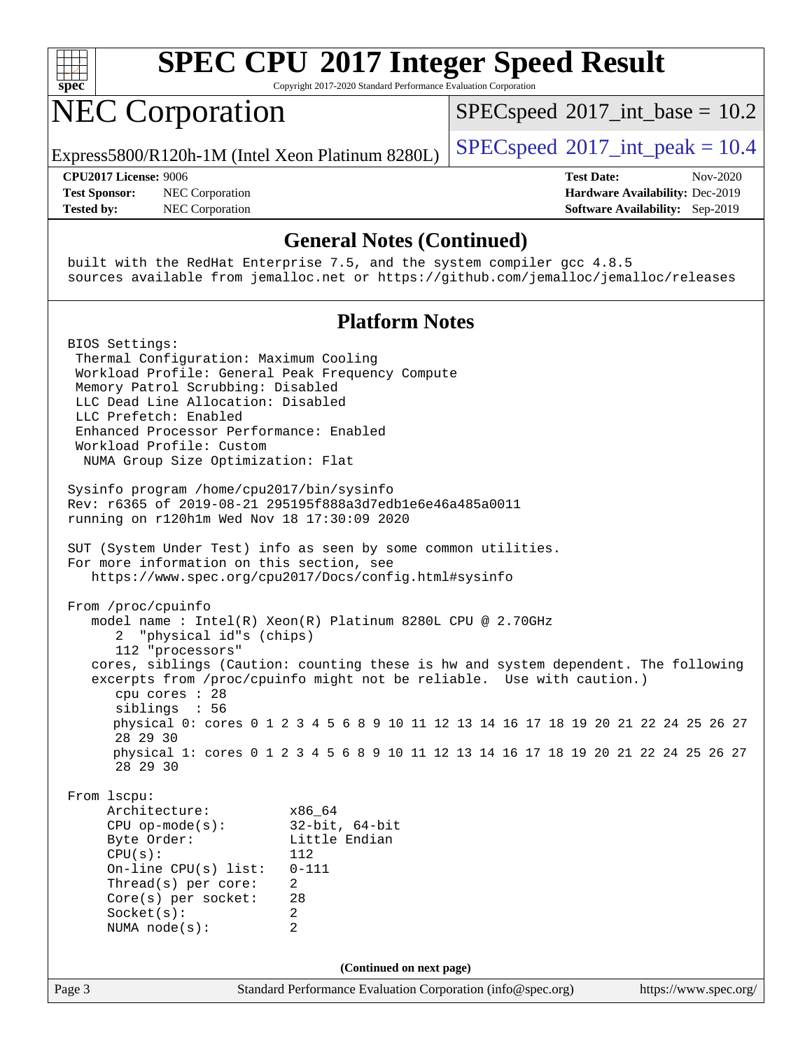

Copyright 2017-2020 Standard Performance Evaluation Corporation

# NEC Corporation

 $SPECspeed^{\circ}2017\_int\_base = 10.2$  $SPECspeed^{\circ}2017\_int\_base = 10.2$ 

Express5800/R120h-1M (Intel Xeon Platinum 8280L)  $\left|$  [SPECspeed](http://www.spec.org/auto/cpu2017/Docs/result-fields.html#SPECspeed2017intpeak)®[2017\\_int\\_peak = 1](http://www.spec.org/auto/cpu2017/Docs/result-fields.html#SPECspeed2017intpeak)0.4

**[Test Sponsor:](http://www.spec.org/auto/cpu2017/Docs/result-fields.html#TestSponsor)** NEC Corporation **[Hardware Availability:](http://www.spec.org/auto/cpu2017/Docs/result-fields.html#HardwareAvailability)** Dec-2019 **[Tested by:](http://www.spec.org/auto/cpu2017/Docs/result-fields.html#Testedby)** NEC Corporation **[Software Availability:](http://www.spec.org/auto/cpu2017/Docs/result-fields.html#SoftwareAvailability)** Sep-2019

**[CPU2017 License:](http://www.spec.org/auto/cpu2017/Docs/result-fields.html#CPU2017License)** 9006 **[Test Date:](http://www.spec.org/auto/cpu2017/Docs/result-fields.html#TestDate)** Nov-2020

#### **[General Notes \(Continued\)](http://www.spec.org/auto/cpu2017/Docs/result-fields.html#GeneralNotes)**

 built with the RedHat Enterprise 7.5, and the system compiler gcc 4.8.5 sources available from jemalloc.net or <https://github.com/jemalloc/jemalloc/releases>

### **[Platform Notes](http://www.spec.org/auto/cpu2017/Docs/result-fields.html#PlatformNotes)**

Page 3 Standard Performance Evaluation Corporation [\(info@spec.org\)](mailto:info@spec.org) <https://www.spec.org/> BIOS Settings: Thermal Configuration: Maximum Cooling Workload Profile: General Peak Frequency Compute Memory Patrol Scrubbing: Disabled LLC Dead Line Allocation: Disabled LLC Prefetch: Enabled Enhanced Processor Performance: Enabled Workload Profile: Custom NUMA Group Size Optimization: Flat Sysinfo program /home/cpu2017/bin/sysinfo Rev: r6365 of 2019-08-21 295195f888a3d7edb1e6e46a485a0011 running on r120h1m Wed Nov 18 17:30:09 2020 SUT (System Under Test) info as seen by some common utilities. For more information on this section, see <https://www.spec.org/cpu2017/Docs/config.html#sysinfo> From /proc/cpuinfo model name : Intel(R) Xeon(R) Platinum 8280L CPU @ 2.70GHz 2 "physical id"s (chips) 112 "processors" cores, siblings (Caution: counting these is hw and system dependent. The following excerpts from /proc/cpuinfo might not be reliable. Use with caution.) cpu cores : 28 siblings : 56 physical 0: cores 0 1 2 3 4 5 6 8 9 10 11 12 13 14 16 17 18 19 20 21 22 24 25 26 27 28 29 30 physical 1: cores 0 1 2 3 4 5 6 8 9 10 11 12 13 14 16 17 18 19 20 21 22 24 25 26 27 28 29 30 From lscpu: Architecture: x86\_64 CPU op-mode(s): 32-bit, 64-bit Little Endian CPU(s): 112 On-line CPU(s) list: 0-111 Thread(s) per core: 2 Core(s) per socket: 28 Socket(s): 2 NUMA node(s): 2 **(Continued on next page)**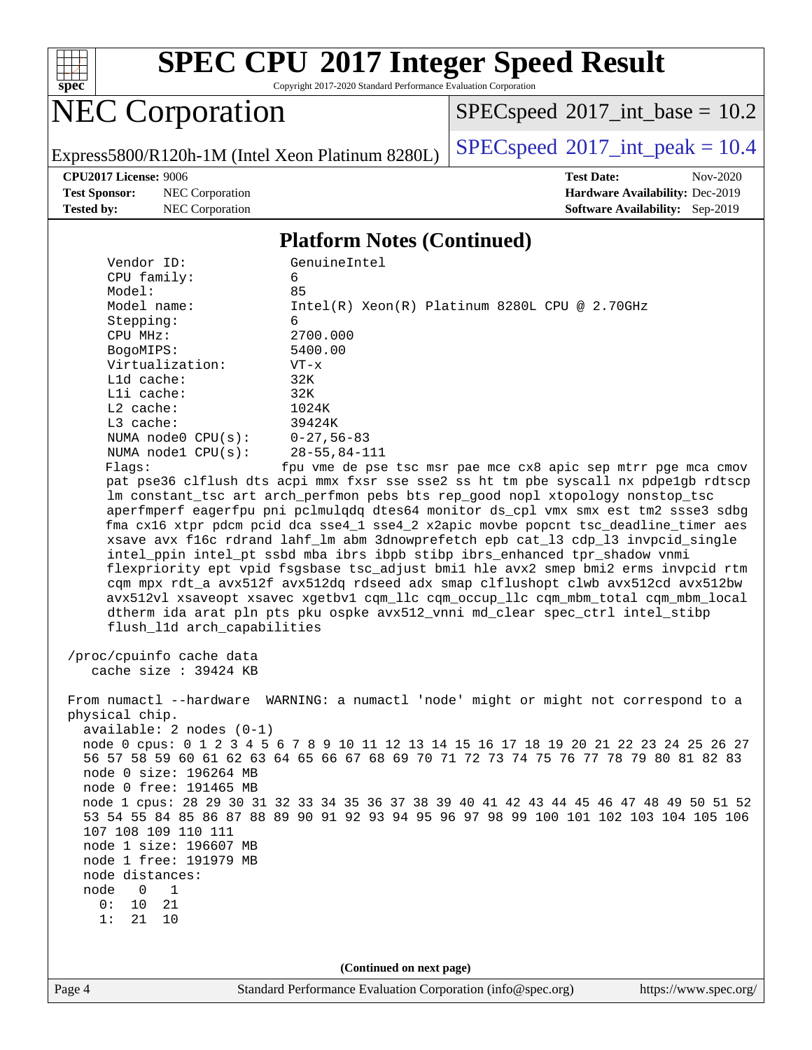

Copyright 2017-2020 Standard Performance Evaluation Corporation

# NEC Corporation

 $SPEC speed$ <sup>®</sup>[2017\\_int\\_base =](http://www.spec.org/auto/cpu2017/Docs/result-fields.html#SPECspeed2017intbase) 10.2

Express5800/R120h-1M (Intel Xeon Platinum 8280L) [SPECspeed](http://www.spec.org/auto/cpu2017/Docs/result-fields.html#SPECspeed2017intpeak)<sup>®</sup>[2017\\_int\\_peak = 1](http://www.spec.org/auto/cpu2017/Docs/result-fields.html#SPECspeed2017intpeak)0.4

**[Test Sponsor:](http://www.spec.org/auto/cpu2017/Docs/result-fields.html#TestSponsor)** NEC Corporation **[Hardware Availability:](http://www.spec.org/auto/cpu2017/Docs/result-fields.html#HardwareAvailability)** Dec-2019 **[Tested by:](http://www.spec.org/auto/cpu2017/Docs/result-fields.html#Testedby)** NEC Corporation **[Software Availability:](http://www.spec.org/auto/cpu2017/Docs/result-fields.html#SoftwareAvailability)** Sep-2019

**[CPU2017 License:](http://www.spec.org/auto/cpu2017/Docs/result-fields.html#CPU2017License)** 9006 **[Test Date:](http://www.spec.org/auto/cpu2017/Docs/result-fields.html#TestDate)** Nov-2020

#### **[Platform Notes \(Continued\)](http://www.spec.org/auto/cpu2017/Docs/result-fields.html#PlatformNotes)**

| Vendor ID:                                       | GenuineIntel                                                                                                                                                                    |  |  |  |  |  |  |
|--------------------------------------------------|---------------------------------------------------------------------------------------------------------------------------------------------------------------------------------|--|--|--|--|--|--|
| CPU family:                                      | 6                                                                                                                                                                               |  |  |  |  |  |  |
| Model:                                           | 85                                                                                                                                                                              |  |  |  |  |  |  |
| Model name:                                      | $Intel(R) Xeon(R) Platinum 8280L CPU @ 2.70GHz$                                                                                                                                 |  |  |  |  |  |  |
| Stepping:                                        | 6                                                                                                                                                                               |  |  |  |  |  |  |
| CPU MHz:                                         | 2700.000                                                                                                                                                                        |  |  |  |  |  |  |
| BogoMIPS:                                        | 5400.00                                                                                                                                                                         |  |  |  |  |  |  |
| Virtualization:                                  | $VT - x$                                                                                                                                                                        |  |  |  |  |  |  |
| L1d cache:                                       | 32K                                                                                                                                                                             |  |  |  |  |  |  |
| Lli cache:                                       | 32K                                                                                                                                                                             |  |  |  |  |  |  |
| $L2$ cache:                                      | 1024K                                                                                                                                                                           |  |  |  |  |  |  |
| L3 cache:                                        | 39424K                                                                                                                                                                          |  |  |  |  |  |  |
| NUMA $node0$ $CPU(s):$                           | $0 - 27,56 - 83$                                                                                                                                                                |  |  |  |  |  |  |
| NUMA $node1$ $CPU(s):$                           | $28 - 55, 84 - 111$                                                                                                                                                             |  |  |  |  |  |  |
| Flagg:                                           | fpu vme de pse tsc msr pae mce cx8 apic sep mtrr pge mca cmov                                                                                                                   |  |  |  |  |  |  |
|                                                  | pat pse36 clflush dts acpi mmx fxsr sse sse2 ss ht tm pbe syscall nx pdpe1gb rdtscp                                                                                             |  |  |  |  |  |  |
|                                                  | lm constant_tsc art arch_perfmon pebs bts rep_good nopl xtopology nonstop_tsc                                                                                                   |  |  |  |  |  |  |
|                                                  | aperfmperf eagerfpu pni pclmulqdq dtes64 monitor ds_cpl vmx smx est tm2 ssse3 sdbg                                                                                              |  |  |  |  |  |  |
|                                                  | fma cx16 xtpr pdcm pcid dca sse4_1 sse4_2 x2apic movbe popcnt tsc_deadline_timer aes                                                                                            |  |  |  |  |  |  |
|                                                  | xsave avx f16c rdrand lahf_lm abm 3dnowprefetch epb cat_13 cdp_13 invpcid_single                                                                                                |  |  |  |  |  |  |
|                                                  | intel ppin intel pt ssbd mba ibrs ibpb stibp ibrs enhanced tpr shadow vnmi                                                                                                      |  |  |  |  |  |  |
|                                                  | flexpriority ept vpid fsgsbase tsc_adjust bmil hle avx2 smep bmi2 erms invpcid rtm                                                                                              |  |  |  |  |  |  |
|                                                  | cqm mpx rdt_a avx512f avx512dq rdseed adx smap clflushopt clwb avx512cd avx512bw                                                                                                |  |  |  |  |  |  |
|                                                  | avx512vl xsaveopt xsavec xgetbvl cqm_llc cqm_occup_llc cqm_mbm_total cqm_mbm_local                                                                                              |  |  |  |  |  |  |
|                                                  | dtherm ida arat pln pts pku ospke avx512_vnni md_clear spec_ctrl intel_stibp                                                                                                    |  |  |  |  |  |  |
| flush_11d arch_capabilities                      |                                                                                                                                                                                 |  |  |  |  |  |  |
|                                                  |                                                                                                                                                                                 |  |  |  |  |  |  |
| /proc/cpuinfo cache data                         |                                                                                                                                                                                 |  |  |  |  |  |  |
| cache size : 39424 KB                            |                                                                                                                                                                                 |  |  |  |  |  |  |
|                                                  |                                                                                                                                                                                 |  |  |  |  |  |  |
|                                                  | From numactl --hardware WARNING: a numactl 'node' might or might not correspond to a                                                                                            |  |  |  |  |  |  |
| physical chip.                                   |                                                                                                                                                                                 |  |  |  |  |  |  |
| $available: 2 nodes (0-1)$                       |                                                                                                                                                                                 |  |  |  |  |  |  |
|                                                  | node 0 cpus: 0 1 2 3 4 5 6 7 8 9 10 11 12 13 14 15 16 17 18 19 20 21 22 23 24 25 26 27                                                                                          |  |  |  |  |  |  |
|                                                  | 56 57 58 59 60 61 62 63 64 65 66 67 68 69 70 71 72 73 74 75 76 77 78 79 80 81 82 83                                                                                             |  |  |  |  |  |  |
| node 0 size: 196264 MB                           |                                                                                                                                                                                 |  |  |  |  |  |  |
| node 0 free: 191465 MB                           |                                                                                                                                                                                 |  |  |  |  |  |  |
|                                                  | node 1 cpus: 28 29 30 31 32 33 34 35 36 37 38 39 40 41 42 43 44 45 46 47 48 49 50 51 52<br>53 54 55 84 85 86 87 88 89 90 91 92 93 94 95 96 97 98 99 100 101 102 103 104 105 106 |  |  |  |  |  |  |
| 107 108 109 110 111                              |                                                                                                                                                                                 |  |  |  |  |  |  |
|                                                  |                                                                                                                                                                                 |  |  |  |  |  |  |
| node 1 size: 196607 MB<br>node 1 free: 191979 MB |                                                                                                                                                                                 |  |  |  |  |  |  |
| node distances:                                  |                                                                                                                                                                                 |  |  |  |  |  |  |
| node<br>$\Omega$<br>$\mathbf{1}$                 |                                                                                                                                                                                 |  |  |  |  |  |  |
| 0:<br>10<br>21                                   |                                                                                                                                                                                 |  |  |  |  |  |  |
| 21<br>1:<br>10                                   |                                                                                                                                                                                 |  |  |  |  |  |  |
|                                                  |                                                                                                                                                                                 |  |  |  |  |  |  |
|                                                  |                                                                                                                                                                                 |  |  |  |  |  |  |
|                                                  |                                                                                                                                                                                 |  |  |  |  |  |  |
|                                                  | (Continued on next page)                                                                                                                                                        |  |  |  |  |  |  |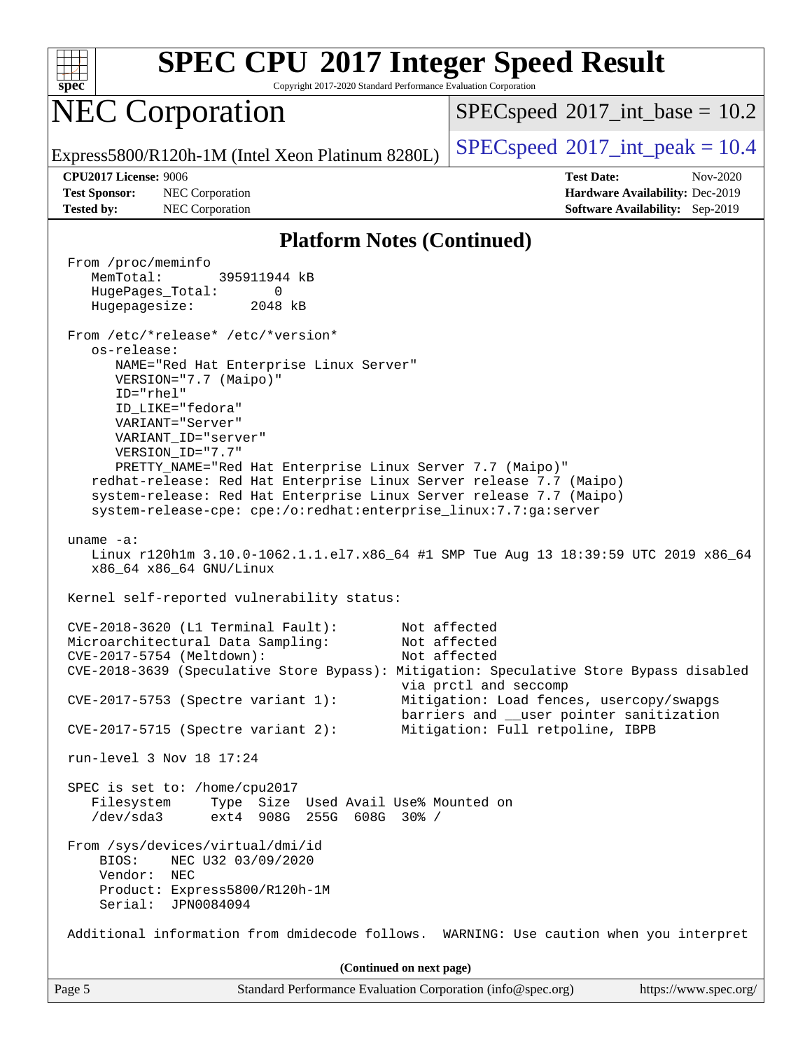

Copyright 2017-2020 Standard Performance Evaluation Corporation

## NEC Corporation

 $SPECspeed^{\circ}2017\_int\_base = 10.2$  $SPECspeed^{\circ}2017\_int\_base = 10.2$ 

Express5800/R120h-1M (Intel Xeon Platinum 8280L)  $\left|$  [SPECspeed](http://www.spec.org/auto/cpu2017/Docs/result-fields.html#SPECspeed2017intpeak)®[2017\\_int\\_peak = 1](http://www.spec.org/auto/cpu2017/Docs/result-fields.html#SPECspeed2017intpeak)0.4

**[Test Sponsor:](http://www.spec.org/auto/cpu2017/Docs/result-fields.html#TestSponsor)** NEC Corporation **[Hardware Availability:](http://www.spec.org/auto/cpu2017/Docs/result-fields.html#HardwareAvailability)** Dec-2019 **[Tested by:](http://www.spec.org/auto/cpu2017/Docs/result-fields.html#Testedby)** NEC Corporation **[Software Availability:](http://www.spec.org/auto/cpu2017/Docs/result-fields.html#SoftwareAvailability)** Sep-2019

**[CPU2017 License:](http://www.spec.org/auto/cpu2017/Docs/result-fields.html#CPU2017License)** 9006 **[Test Date:](http://www.spec.org/auto/cpu2017/Docs/result-fields.html#TestDate)** Nov-2020

#### **[Platform Notes \(Continued\)](http://www.spec.org/auto/cpu2017/Docs/result-fields.html#PlatformNotes)**

Page 5 Standard Performance Evaluation Corporation [\(info@spec.org\)](mailto:info@spec.org) <https://www.spec.org/> From /proc/meminfo MemTotal: 395911944 kB HugePages\_Total: 0 Hugepagesize: 2048 kB From /etc/\*release\* /etc/\*version\* os-release: NAME="Red Hat Enterprise Linux Server" VERSION="7.7 (Maipo)" ID="rhel" ID\_LIKE="fedora" VARIANT="Server" VARIANT\_ID="server" VERSION\_ID="7.7" PRETTY\_NAME="Red Hat Enterprise Linux Server 7.7 (Maipo)" redhat-release: Red Hat Enterprise Linux Server release 7.7 (Maipo) system-release: Red Hat Enterprise Linux Server release 7.7 (Maipo) system-release-cpe: cpe:/o:redhat:enterprise\_linux:7.7:ga:server uname -a: Linux r120h1m 3.10.0-1062.1.1.el7.x86\_64 #1 SMP Tue Aug 13 18:39:59 UTC 2019 x86\_64 x86\_64 x86\_64 GNU/Linux Kernel self-reported vulnerability status: CVE-2018-3620 (L1 Terminal Fault): Not affected Microarchitectural Data Sampling: Not affected CVE-2017-5754 (Meltdown): Not affected CVE-2018-3639 (Speculative Store Bypass): Mitigation: Speculative Store Bypass disabled via prctl and seccomp CVE-2017-5753 (Spectre variant 1): Mitigation: Load fences, usercopy/swapgs barriers and \_\_user pointer sanitization CVE-2017-5715 (Spectre variant 2): Mitigation: Full retpoline, IBPB run-level 3 Nov 18 17:24 SPEC is set to: /home/cpu2017 Filesystem Type Size Used Avail Use% Mounted on /dev/sda3 ext4 908G 255G 608G 30% / From /sys/devices/virtual/dmi/id BIOS: NEC U32 03/09/2020 Vendor: NEC Product: Express5800/R120h-1M Serial: JPN0084094 Additional information from dmidecode follows. WARNING: Use caution when you interpret **(Continued on next page)**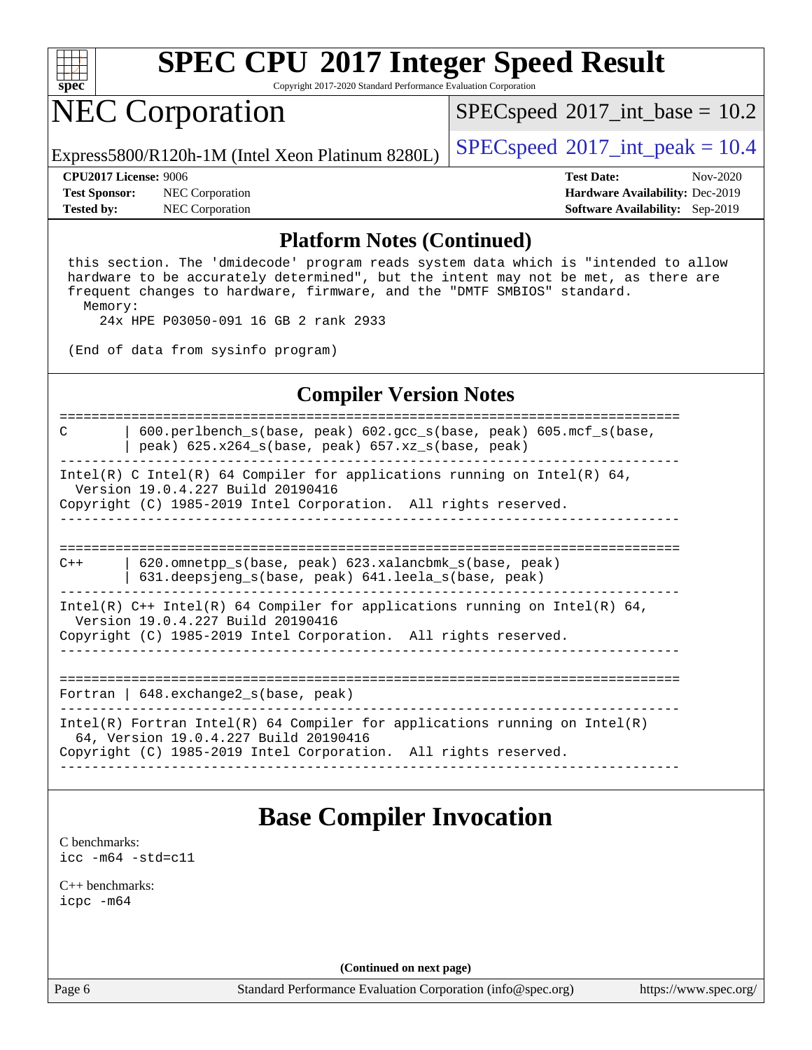

Copyright 2017-2020 Standard Performance Evaluation Corporation

### NEC Corporation

 $SPECspeed^{\circledcirc}2017\_int\_base = 10.2$  $SPECspeed^{\circledcirc}2017\_int\_base = 10.2$ 

Express5800/R120h-1M (Intel Xeon Platinum 8280L)  $\left|$  [SPECspeed](http://www.spec.org/auto/cpu2017/Docs/result-fields.html#SPECspeed2017intpeak)®[2017\\_int\\_peak = 1](http://www.spec.org/auto/cpu2017/Docs/result-fields.html#SPECspeed2017intpeak)0.4

**[Test Sponsor:](http://www.spec.org/auto/cpu2017/Docs/result-fields.html#TestSponsor)** NEC Corporation **[Hardware Availability:](http://www.spec.org/auto/cpu2017/Docs/result-fields.html#HardwareAvailability)** Dec-2019 **[Tested by:](http://www.spec.org/auto/cpu2017/Docs/result-fields.html#Testedby)** NEC Corporation **[Software Availability:](http://www.spec.org/auto/cpu2017/Docs/result-fields.html#SoftwareAvailability)** Sep-2019

**[CPU2017 License:](http://www.spec.org/auto/cpu2017/Docs/result-fields.html#CPU2017License)** 9006 **[Test Date:](http://www.spec.org/auto/cpu2017/Docs/result-fields.html#TestDate)** Nov-2020

#### **[Platform Notes \(Continued\)](http://www.spec.org/auto/cpu2017/Docs/result-fields.html#PlatformNotes)**

 this section. The 'dmidecode' program reads system data which is "intended to allow hardware to be accurately determined", but the intent may not be met, as there are frequent changes to hardware, firmware, and the "DMTF SMBIOS" standard. Memory:

24x HPE P03050-091 16 GB 2 rank 2933

(End of data from sysinfo program)

#### **[Compiler Version Notes](http://www.spec.org/auto/cpu2017/Docs/result-fields.html#CompilerVersionNotes)**

============================================================================== C | 600.perlbench\_s(base, peak) 602.gcc\_s(base, peak) 605.mcf\_s(base, | peak) 625.x264\_s(base, peak) 657.xz\_s(base, peak) ------------------------------------------------------------------------------ Intel(R) C Intel(R) 64 Compiler for applications running on Intel(R) 64, Version 19.0.4.227 Build 20190416 Copyright (C) 1985-2019 Intel Corporation. All rights reserved. ------------------------------------------------------------------------------ ============================================================================== C++ | 620.omnetpp\_s(base, peak) 623.xalancbmk\_s(base, peak) | 631.deepsjeng\_s(base, peak) 641.leela\_s(base, peak)

------------------------------------------------------------------------------ Intel(R)  $C++$  Intel(R) 64 Compiler for applications running on Intel(R) 64, Version 19.0.4.227 Build 20190416 Copyright (C) 1985-2019 Intel Corporation. All rights reserved.

------------------------------------------------------------------------------

==============================================================================

Fortran | 648.exchange2\_s(base, peak)

------------------------------------------------------------------------------ Intel(R) Fortran Intel(R) 64 Compiler for applications running on Intel(R) 64, Version 19.0.4.227 Build 20190416 Copyright (C) 1985-2019 Intel Corporation. All rights reserved. ------------------------------------------------------------------------------

### **[Base Compiler Invocation](http://www.spec.org/auto/cpu2017/Docs/result-fields.html#BaseCompilerInvocation)**

[C benchmarks](http://www.spec.org/auto/cpu2017/Docs/result-fields.html#Cbenchmarks): [icc -m64 -std=c11](http://www.spec.org/cpu2017/results/res2020q4/cpu2017-20201123-24440.flags.html#user_CCbase_intel_icc_64bit_c11_33ee0cdaae7deeeab2a9725423ba97205ce30f63b9926c2519791662299b76a0318f32ddfffdc46587804de3178b4f9328c46fa7c2b0cd779d7a61945c91cd35)

[C++ benchmarks:](http://www.spec.org/auto/cpu2017/Docs/result-fields.html#CXXbenchmarks) [icpc -m64](http://www.spec.org/cpu2017/results/res2020q4/cpu2017-20201123-24440.flags.html#user_CXXbase_intel_icpc_64bit_4ecb2543ae3f1412ef961e0650ca070fec7b7afdcd6ed48761b84423119d1bf6bdf5cad15b44d48e7256388bc77273b966e5eb805aefd121eb22e9299b2ec9d9)

**(Continued on next page)**

Page 6 Standard Performance Evaluation Corporation [\(info@spec.org\)](mailto:info@spec.org) <https://www.spec.org/>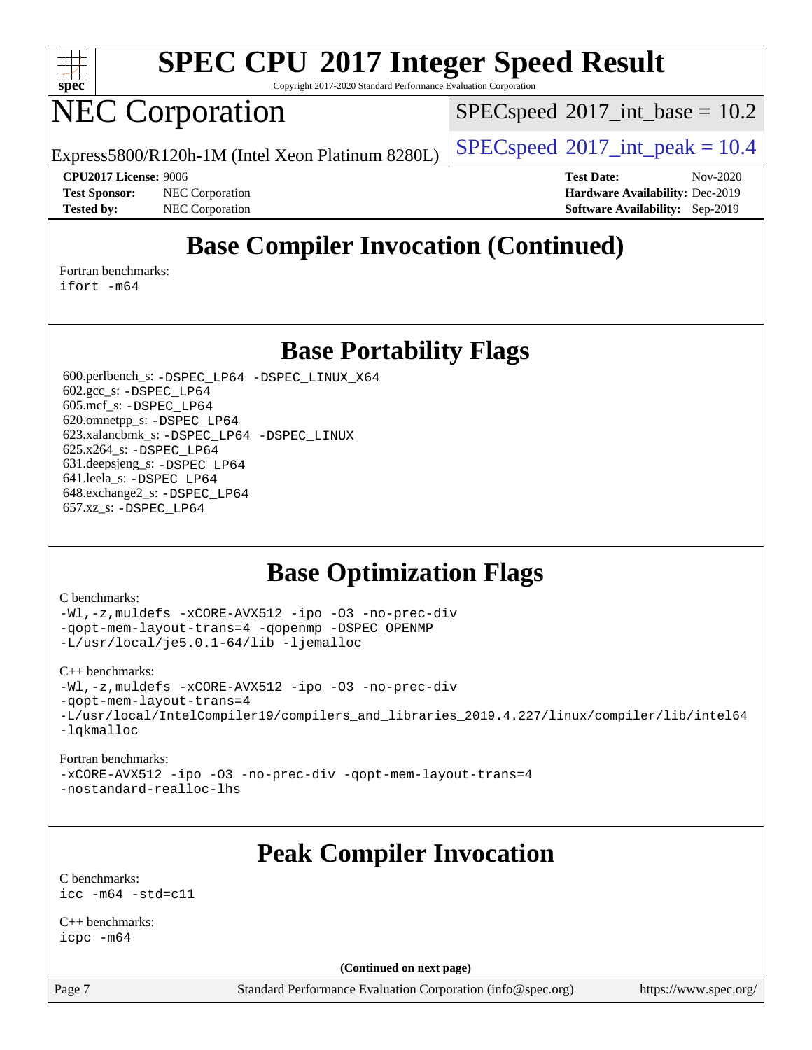

Copyright 2017-2020 Standard Performance Evaluation Corporation

## NEC Corporation

 $SPECspeed^{\circ}2017\_int\_base = 10.2$  $SPECspeed^{\circ}2017\_int\_base = 10.2$ 

Express5800/R120h-1M (Intel Xeon Platinum 8280L)  $\left|$  [SPECspeed](http://www.spec.org/auto/cpu2017/Docs/result-fields.html#SPECspeed2017intpeak)®[2017\\_int\\_peak = 1](http://www.spec.org/auto/cpu2017/Docs/result-fields.html#SPECspeed2017intpeak)0.4

**[CPU2017 License:](http://www.spec.org/auto/cpu2017/Docs/result-fields.html#CPU2017License)** 9006 **[Test Date:](http://www.spec.org/auto/cpu2017/Docs/result-fields.html#TestDate)** Nov-2020 **[Test Sponsor:](http://www.spec.org/auto/cpu2017/Docs/result-fields.html#TestSponsor)** NEC Corporation **[Hardware Availability:](http://www.spec.org/auto/cpu2017/Docs/result-fields.html#HardwareAvailability)** Dec-2019 **[Tested by:](http://www.spec.org/auto/cpu2017/Docs/result-fields.html#Testedby)** NEC Corporation **[Software Availability:](http://www.spec.org/auto/cpu2017/Docs/result-fields.html#SoftwareAvailability)** Sep-2019

### **[Base Compiler Invocation \(Continued\)](http://www.spec.org/auto/cpu2017/Docs/result-fields.html#BaseCompilerInvocation)**

[Fortran benchmarks](http://www.spec.org/auto/cpu2017/Docs/result-fields.html#Fortranbenchmarks): [ifort -m64](http://www.spec.org/cpu2017/results/res2020q4/cpu2017-20201123-24440.flags.html#user_FCbase_intel_ifort_64bit_24f2bb282fbaeffd6157abe4f878425411749daecae9a33200eee2bee2fe76f3b89351d69a8130dd5949958ce389cf37ff59a95e7a40d588e8d3a57e0c3fd751)

**[Base Portability Flags](http://www.spec.org/auto/cpu2017/Docs/result-fields.html#BasePortabilityFlags)**

 600.perlbench\_s: [-DSPEC\\_LP64](http://www.spec.org/cpu2017/results/res2020q4/cpu2017-20201123-24440.flags.html#b600.perlbench_s_basePORTABILITY_DSPEC_LP64) [-DSPEC\\_LINUX\\_X64](http://www.spec.org/cpu2017/results/res2020q4/cpu2017-20201123-24440.flags.html#b600.perlbench_s_baseCPORTABILITY_DSPEC_LINUX_X64) 602.gcc\_s: [-DSPEC\\_LP64](http://www.spec.org/cpu2017/results/res2020q4/cpu2017-20201123-24440.flags.html#suite_basePORTABILITY602_gcc_s_DSPEC_LP64) 605.mcf\_s: [-DSPEC\\_LP64](http://www.spec.org/cpu2017/results/res2020q4/cpu2017-20201123-24440.flags.html#suite_basePORTABILITY605_mcf_s_DSPEC_LP64) 620.omnetpp\_s: [-DSPEC\\_LP64](http://www.spec.org/cpu2017/results/res2020q4/cpu2017-20201123-24440.flags.html#suite_basePORTABILITY620_omnetpp_s_DSPEC_LP64) 623.xalancbmk\_s: [-DSPEC\\_LP64](http://www.spec.org/cpu2017/results/res2020q4/cpu2017-20201123-24440.flags.html#suite_basePORTABILITY623_xalancbmk_s_DSPEC_LP64) [-DSPEC\\_LINUX](http://www.spec.org/cpu2017/results/res2020q4/cpu2017-20201123-24440.flags.html#b623.xalancbmk_s_baseCXXPORTABILITY_DSPEC_LINUX) 625.x264\_s: [-DSPEC\\_LP64](http://www.spec.org/cpu2017/results/res2020q4/cpu2017-20201123-24440.flags.html#suite_basePORTABILITY625_x264_s_DSPEC_LP64) 631.deepsjeng\_s: [-DSPEC\\_LP64](http://www.spec.org/cpu2017/results/res2020q4/cpu2017-20201123-24440.flags.html#suite_basePORTABILITY631_deepsjeng_s_DSPEC_LP64) 641.leela\_s: [-DSPEC\\_LP64](http://www.spec.org/cpu2017/results/res2020q4/cpu2017-20201123-24440.flags.html#suite_basePORTABILITY641_leela_s_DSPEC_LP64) 648.exchange2\_s: [-DSPEC\\_LP64](http://www.spec.org/cpu2017/results/res2020q4/cpu2017-20201123-24440.flags.html#suite_basePORTABILITY648_exchange2_s_DSPEC_LP64) 657.xz\_s: [-DSPEC\\_LP64](http://www.spec.org/cpu2017/results/res2020q4/cpu2017-20201123-24440.flags.html#suite_basePORTABILITY657_xz_s_DSPEC_LP64)

### **[Base Optimization Flags](http://www.spec.org/auto/cpu2017/Docs/result-fields.html#BaseOptimizationFlags)**

#### [C benchmarks](http://www.spec.org/auto/cpu2017/Docs/result-fields.html#Cbenchmarks):

[-Wl,-z,muldefs](http://www.spec.org/cpu2017/results/res2020q4/cpu2017-20201123-24440.flags.html#user_CCbase_link_force_multiple1_b4cbdb97b34bdee9ceefcfe54f4c8ea74255f0b02a4b23e853cdb0e18eb4525ac79b5a88067c842dd0ee6996c24547a27a4b99331201badda8798ef8a743f577) [-xCORE-AVX512](http://www.spec.org/cpu2017/results/res2020q4/cpu2017-20201123-24440.flags.html#user_CCbase_f-xCORE-AVX512) [-ipo](http://www.spec.org/cpu2017/results/res2020q4/cpu2017-20201123-24440.flags.html#user_CCbase_f-ipo) [-O3](http://www.spec.org/cpu2017/results/res2020q4/cpu2017-20201123-24440.flags.html#user_CCbase_f-O3) [-no-prec-div](http://www.spec.org/cpu2017/results/res2020q4/cpu2017-20201123-24440.flags.html#user_CCbase_f-no-prec-div) [-qopt-mem-layout-trans=4](http://www.spec.org/cpu2017/results/res2020q4/cpu2017-20201123-24440.flags.html#user_CCbase_f-qopt-mem-layout-trans_fa39e755916c150a61361b7846f310bcdf6f04e385ef281cadf3647acec3f0ae266d1a1d22d972a7087a248fd4e6ca390a3634700869573d231a252c784941a8) [-qopenmp](http://www.spec.org/cpu2017/results/res2020q4/cpu2017-20201123-24440.flags.html#user_CCbase_qopenmp_16be0c44f24f464004c6784a7acb94aca937f053568ce72f94b139a11c7c168634a55f6653758ddd83bcf7b8463e8028bb0b48b77bcddc6b78d5d95bb1df2967) [-DSPEC\\_OPENMP](http://www.spec.org/cpu2017/results/res2020q4/cpu2017-20201123-24440.flags.html#suite_CCbase_DSPEC_OPENMP) [-L/usr/local/je5.0.1-64/lib](http://www.spec.org/cpu2017/results/res2020q4/cpu2017-20201123-24440.flags.html#user_CCbase_jemalloc_link_path64_4b10a636b7bce113509b17f3bd0d6226c5fb2346b9178c2d0232c14f04ab830f976640479e5c33dc2bcbbdad86ecfb6634cbbd4418746f06f368b512fced5394) [-ljemalloc](http://www.spec.org/cpu2017/results/res2020q4/cpu2017-20201123-24440.flags.html#user_CCbase_jemalloc_link_lib_d1249b907c500fa1c0672f44f562e3d0f79738ae9e3c4a9c376d49f265a04b9c99b167ecedbf6711b3085be911c67ff61f150a17b3472be731631ba4d0471706)

#### [C++ benchmarks:](http://www.spec.org/auto/cpu2017/Docs/result-fields.html#CXXbenchmarks)

[-Wl,-z,muldefs](http://www.spec.org/cpu2017/results/res2020q4/cpu2017-20201123-24440.flags.html#user_CXXbase_link_force_multiple1_b4cbdb97b34bdee9ceefcfe54f4c8ea74255f0b02a4b23e853cdb0e18eb4525ac79b5a88067c842dd0ee6996c24547a27a4b99331201badda8798ef8a743f577) [-xCORE-AVX512](http://www.spec.org/cpu2017/results/res2020q4/cpu2017-20201123-24440.flags.html#user_CXXbase_f-xCORE-AVX512) [-ipo](http://www.spec.org/cpu2017/results/res2020q4/cpu2017-20201123-24440.flags.html#user_CXXbase_f-ipo) [-O3](http://www.spec.org/cpu2017/results/res2020q4/cpu2017-20201123-24440.flags.html#user_CXXbase_f-O3) [-no-prec-div](http://www.spec.org/cpu2017/results/res2020q4/cpu2017-20201123-24440.flags.html#user_CXXbase_f-no-prec-div) [-qopt-mem-layout-trans=4](http://www.spec.org/cpu2017/results/res2020q4/cpu2017-20201123-24440.flags.html#user_CXXbase_f-qopt-mem-layout-trans_fa39e755916c150a61361b7846f310bcdf6f04e385ef281cadf3647acec3f0ae266d1a1d22d972a7087a248fd4e6ca390a3634700869573d231a252c784941a8) [-L/usr/local/IntelCompiler19/compilers\\_and\\_libraries\\_2019.4.227/linux/compiler/lib/intel64](http://www.spec.org/cpu2017/results/res2020q4/cpu2017-20201123-24440.flags.html#user_CXXbase_qkmalloc_link_0ffe0cb02c68ef1b443a077c7888c10c67ca0d1dd7138472156f06a085bbad385f78d49618ad55dca9db3b1608e84afc2f69b4003b1d1ca498a9fc1462ccefda) [-lqkmalloc](http://www.spec.org/cpu2017/results/res2020q4/cpu2017-20201123-24440.flags.html#user_CXXbase_qkmalloc_link_lib_79a818439969f771c6bc311cfd333c00fc099dad35c030f5aab9dda831713d2015205805422f83de8875488a2991c0a156aaa600e1f9138f8fc37004abc96dc5)

#### [Fortran benchmarks:](http://www.spec.org/auto/cpu2017/Docs/result-fields.html#Fortranbenchmarks)

[-xCORE-AVX512](http://www.spec.org/cpu2017/results/res2020q4/cpu2017-20201123-24440.flags.html#user_FCbase_f-xCORE-AVX512) [-ipo](http://www.spec.org/cpu2017/results/res2020q4/cpu2017-20201123-24440.flags.html#user_FCbase_f-ipo) [-O3](http://www.spec.org/cpu2017/results/res2020q4/cpu2017-20201123-24440.flags.html#user_FCbase_f-O3) [-no-prec-div](http://www.spec.org/cpu2017/results/res2020q4/cpu2017-20201123-24440.flags.html#user_FCbase_f-no-prec-div) [-qopt-mem-layout-trans=4](http://www.spec.org/cpu2017/results/res2020q4/cpu2017-20201123-24440.flags.html#user_FCbase_f-qopt-mem-layout-trans_fa39e755916c150a61361b7846f310bcdf6f04e385ef281cadf3647acec3f0ae266d1a1d22d972a7087a248fd4e6ca390a3634700869573d231a252c784941a8) [-nostandard-realloc-lhs](http://www.spec.org/cpu2017/results/res2020q4/cpu2017-20201123-24440.flags.html#user_FCbase_f_2003_std_realloc_82b4557e90729c0f113870c07e44d33d6f5a304b4f63d4c15d2d0f1fab99f5daaed73bdb9275d9ae411527f28b936061aa8b9c8f2d63842963b95c9dd6426b8a)

### **[Peak Compiler Invocation](http://www.spec.org/auto/cpu2017/Docs/result-fields.html#PeakCompilerInvocation)**

[C benchmarks](http://www.spec.org/auto/cpu2017/Docs/result-fields.html#Cbenchmarks): [icc -m64 -std=c11](http://www.spec.org/cpu2017/results/res2020q4/cpu2017-20201123-24440.flags.html#user_CCpeak_intel_icc_64bit_c11_33ee0cdaae7deeeab2a9725423ba97205ce30f63b9926c2519791662299b76a0318f32ddfffdc46587804de3178b4f9328c46fa7c2b0cd779d7a61945c91cd35)

[C++ benchmarks:](http://www.spec.org/auto/cpu2017/Docs/result-fields.html#CXXbenchmarks) [icpc -m64](http://www.spec.org/cpu2017/results/res2020q4/cpu2017-20201123-24440.flags.html#user_CXXpeak_intel_icpc_64bit_4ecb2543ae3f1412ef961e0650ca070fec7b7afdcd6ed48761b84423119d1bf6bdf5cad15b44d48e7256388bc77273b966e5eb805aefd121eb22e9299b2ec9d9)

**(Continued on next page)**

Page 7 Standard Performance Evaluation Corporation [\(info@spec.org\)](mailto:info@spec.org) <https://www.spec.org/>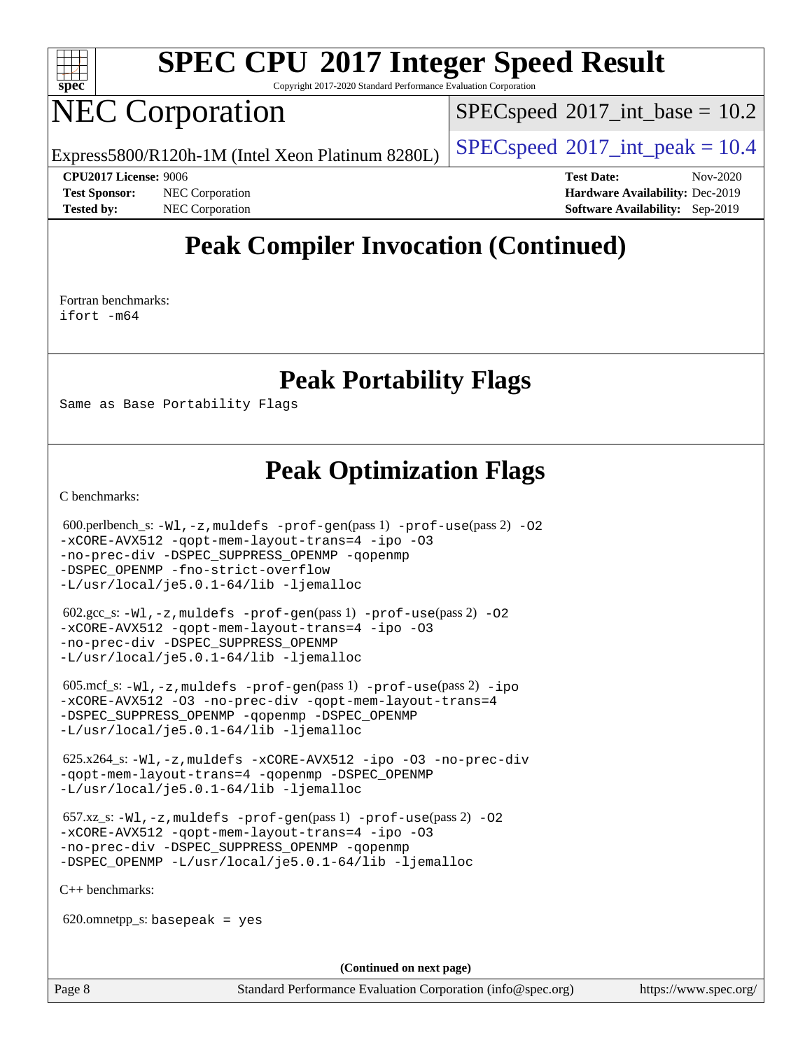

Copyright 2017-2020 Standard Performance Evaluation Corporation

## NEC Corporation

 $SPECspeed^{\circ}2017\_int\_base = 10.2$  $SPECspeed^{\circ}2017\_int\_base = 10.2$ 

Express5800/R120h-1M (Intel Xeon Platinum 8280L)  $\left|$  [SPECspeed](http://www.spec.org/auto/cpu2017/Docs/result-fields.html#SPECspeed2017intpeak)®[2017\\_int\\_peak = 1](http://www.spec.org/auto/cpu2017/Docs/result-fields.html#SPECspeed2017intpeak)0.4

**[CPU2017 License:](http://www.spec.org/auto/cpu2017/Docs/result-fields.html#CPU2017License)** 9006 **[Test Date:](http://www.spec.org/auto/cpu2017/Docs/result-fields.html#TestDate)** Nov-2020 **[Test Sponsor:](http://www.spec.org/auto/cpu2017/Docs/result-fields.html#TestSponsor)** NEC Corporation **[Hardware Availability:](http://www.spec.org/auto/cpu2017/Docs/result-fields.html#HardwareAvailability)** Dec-2019 **[Tested by:](http://www.spec.org/auto/cpu2017/Docs/result-fields.html#Testedby)** NEC Corporation **[Software Availability:](http://www.spec.org/auto/cpu2017/Docs/result-fields.html#SoftwareAvailability)** Sep-2019

### **[Peak Compiler Invocation \(Continued\)](http://www.spec.org/auto/cpu2017/Docs/result-fields.html#PeakCompilerInvocation)**

[Fortran benchmarks](http://www.spec.org/auto/cpu2017/Docs/result-fields.html#Fortranbenchmarks): [ifort -m64](http://www.spec.org/cpu2017/results/res2020q4/cpu2017-20201123-24440.flags.html#user_FCpeak_intel_ifort_64bit_24f2bb282fbaeffd6157abe4f878425411749daecae9a33200eee2bee2fe76f3b89351d69a8130dd5949958ce389cf37ff59a95e7a40d588e8d3a57e0c3fd751)

### **[Peak Portability Flags](http://www.spec.org/auto/cpu2017/Docs/result-fields.html#PeakPortabilityFlags)**

Same as Base Portability Flags

### **[Peak Optimization Flags](http://www.spec.org/auto/cpu2017/Docs/result-fields.html#PeakOptimizationFlags)**

[C benchmarks](http://www.spec.org/auto/cpu2017/Docs/result-fields.html#Cbenchmarks):

 $600.\text{perlbench}\_\text{s}: -W1$ ,  $-z$ , muldefs  $-\text{prof-gen(pass 1)} -\text{prof-use(pass 2)} -\text{O2}$ [-xCORE-AVX512](http://www.spec.org/cpu2017/results/res2020q4/cpu2017-20201123-24440.flags.html#user_peakPASS2_COPTIMIZE600_perlbench_s_f-xCORE-AVX512) [-qopt-mem-layout-trans=4](http://www.spec.org/cpu2017/results/res2020q4/cpu2017-20201123-24440.flags.html#user_peakPASS1_COPTIMIZEPASS2_COPTIMIZE600_perlbench_s_f-qopt-mem-layout-trans_fa39e755916c150a61361b7846f310bcdf6f04e385ef281cadf3647acec3f0ae266d1a1d22d972a7087a248fd4e6ca390a3634700869573d231a252c784941a8) [-ipo](http://www.spec.org/cpu2017/results/res2020q4/cpu2017-20201123-24440.flags.html#user_peakPASS2_COPTIMIZE600_perlbench_s_f-ipo) [-O3](http://www.spec.org/cpu2017/results/res2020q4/cpu2017-20201123-24440.flags.html#user_peakPASS2_COPTIMIZE600_perlbench_s_f-O3) [-no-prec-div](http://www.spec.org/cpu2017/results/res2020q4/cpu2017-20201123-24440.flags.html#user_peakPASS2_COPTIMIZE600_perlbench_s_f-no-prec-div) [-DSPEC\\_SUPPRESS\\_OPENMP](http://www.spec.org/cpu2017/results/res2020q4/cpu2017-20201123-24440.flags.html#suite_peakPASS1_COPTIMIZE600_perlbench_s_DSPEC_SUPPRESS_OPENMP) [-qopenmp](http://www.spec.org/cpu2017/results/res2020q4/cpu2017-20201123-24440.flags.html#user_peakPASS2_COPTIMIZE600_perlbench_s_qopenmp_16be0c44f24f464004c6784a7acb94aca937f053568ce72f94b139a11c7c168634a55f6653758ddd83bcf7b8463e8028bb0b48b77bcddc6b78d5d95bb1df2967) [-DSPEC\\_OPENMP](http://www.spec.org/cpu2017/results/res2020q4/cpu2017-20201123-24440.flags.html#suite_peakPASS2_COPTIMIZE600_perlbench_s_DSPEC_OPENMP) [-fno-strict-overflow](http://www.spec.org/cpu2017/results/res2020q4/cpu2017-20201123-24440.flags.html#user_peakEXTRA_OPTIMIZE600_perlbench_s_f-fno-strict-overflow) [-L/usr/local/je5.0.1-64/lib](http://www.spec.org/cpu2017/results/res2020q4/cpu2017-20201123-24440.flags.html#user_peakEXTRA_LIBS600_perlbench_s_jemalloc_link_path64_4b10a636b7bce113509b17f3bd0d6226c5fb2346b9178c2d0232c14f04ab830f976640479e5c33dc2bcbbdad86ecfb6634cbbd4418746f06f368b512fced5394) [-ljemalloc](http://www.spec.org/cpu2017/results/res2020q4/cpu2017-20201123-24440.flags.html#user_peakEXTRA_LIBS600_perlbench_s_jemalloc_link_lib_d1249b907c500fa1c0672f44f562e3d0f79738ae9e3c4a9c376d49f265a04b9c99b167ecedbf6711b3085be911c67ff61f150a17b3472be731631ba4d0471706) 602.gcc\_s: [-Wl,-z,muldefs](http://www.spec.org/cpu2017/results/res2020q4/cpu2017-20201123-24440.flags.html#user_peakEXTRA_LDFLAGS602_gcc_s_link_force_multiple1_b4cbdb97b34bdee9ceefcfe54f4c8ea74255f0b02a4b23e853cdb0e18eb4525ac79b5a88067c842dd0ee6996c24547a27a4b99331201badda8798ef8a743f577) [-prof-gen](http://www.spec.org/cpu2017/results/res2020q4/cpu2017-20201123-24440.flags.html#user_peakPASS1_CFLAGSPASS1_LDFLAGS602_gcc_s_prof_gen_5aa4926d6013ddb2a31985c654b3eb18169fc0c6952a63635c234f711e6e63dd76e94ad52365559451ec499a2cdb89e4dc58ba4c67ef54ca681ffbe1461d6b36)(pass 1) [-prof-use](http://www.spec.org/cpu2017/results/res2020q4/cpu2017-20201123-24440.flags.html#user_peakPASS2_CFLAGSPASS2_LDFLAGS602_gcc_s_prof_use_1a21ceae95f36a2b53c25747139a6c16ca95bd9def2a207b4f0849963b97e94f5260e30a0c64f4bb623698870e679ca08317ef8150905d41bd88c6f78df73f19)(pass 2) [-O2](http://www.spec.org/cpu2017/results/res2020q4/cpu2017-20201123-24440.flags.html#user_peakPASS1_COPTIMIZE602_gcc_s_f-O2) [-xCORE-AVX512](http://www.spec.org/cpu2017/results/res2020q4/cpu2017-20201123-24440.flags.html#user_peakPASS2_COPTIMIZE602_gcc_s_f-xCORE-AVX512) [-qopt-mem-layout-trans=4](http://www.spec.org/cpu2017/results/res2020q4/cpu2017-20201123-24440.flags.html#user_peakPASS1_COPTIMIZEPASS2_COPTIMIZE602_gcc_s_f-qopt-mem-layout-trans_fa39e755916c150a61361b7846f310bcdf6f04e385ef281cadf3647acec3f0ae266d1a1d22d972a7087a248fd4e6ca390a3634700869573d231a252c784941a8) [-ipo](http://www.spec.org/cpu2017/results/res2020q4/cpu2017-20201123-24440.flags.html#user_peakPASS2_COPTIMIZE602_gcc_s_f-ipo) [-O3](http://www.spec.org/cpu2017/results/res2020q4/cpu2017-20201123-24440.flags.html#user_peakPASS2_COPTIMIZE602_gcc_s_f-O3) [-no-prec-div](http://www.spec.org/cpu2017/results/res2020q4/cpu2017-20201123-24440.flags.html#user_peakPASS2_COPTIMIZE602_gcc_s_f-no-prec-div) [-DSPEC\\_SUPPRESS\\_OPENMP](http://www.spec.org/cpu2017/results/res2020q4/cpu2017-20201123-24440.flags.html#suite_peakPASS1_COPTIMIZE602_gcc_s_DSPEC_SUPPRESS_OPENMP) [-L/usr/local/je5.0.1-64/lib](http://www.spec.org/cpu2017/results/res2020q4/cpu2017-20201123-24440.flags.html#user_peakEXTRA_LIBS602_gcc_s_jemalloc_link_path64_4b10a636b7bce113509b17f3bd0d6226c5fb2346b9178c2d0232c14f04ab830f976640479e5c33dc2bcbbdad86ecfb6634cbbd4418746f06f368b512fced5394) [-ljemalloc](http://www.spec.org/cpu2017/results/res2020q4/cpu2017-20201123-24440.flags.html#user_peakEXTRA_LIBS602_gcc_s_jemalloc_link_lib_d1249b907c500fa1c0672f44f562e3d0f79738ae9e3c4a9c376d49f265a04b9c99b167ecedbf6711b3085be911c67ff61f150a17b3472be731631ba4d0471706) 605.mcf\_s: [-Wl,-z,muldefs](http://www.spec.org/cpu2017/results/res2020q4/cpu2017-20201123-24440.flags.html#user_peakEXTRA_LDFLAGS605_mcf_s_link_force_multiple1_b4cbdb97b34bdee9ceefcfe54f4c8ea74255f0b02a4b23e853cdb0e18eb4525ac79b5a88067c842dd0ee6996c24547a27a4b99331201badda8798ef8a743f577) [-prof-gen](http://www.spec.org/cpu2017/results/res2020q4/cpu2017-20201123-24440.flags.html#user_peakPASS1_CFLAGSPASS1_LDFLAGS605_mcf_s_prof_gen_5aa4926d6013ddb2a31985c654b3eb18169fc0c6952a63635c234f711e6e63dd76e94ad52365559451ec499a2cdb89e4dc58ba4c67ef54ca681ffbe1461d6b36)(pass 1) [-prof-use](http://www.spec.org/cpu2017/results/res2020q4/cpu2017-20201123-24440.flags.html#user_peakPASS2_CFLAGSPASS2_LDFLAGS605_mcf_s_prof_use_1a21ceae95f36a2b53c25747139a6c16ca95bd9def2a207b4f0849963b97e94f5260e30a0c64f4bb623698870e679ca08317ef8150905d41bd88c6f78df73f19)(pass 2) [-ipo](http://www.spec.org/cpu2017/results/res2020q4/cpu2017-20201123-24440.flags.html#user_peakPASS1_COPTIMIZEPASS2_COPTIMIZE605_mcf_s_f-ipo) [-xCORE-AVX512](http://www.spec.org/cpu2017/results/res2020q4/cpu2017-20201123-24440.flags.html#user_peakPASS2_COPTIMIZE605_mcf_s_f-xCORE-AVX512) [-O3](http://www.spec.org/cpu2017/results/res2020q4/cpu2017-20201123-24440.flags.html#user_peakPASS1_COPTIMIZEPASS2_COPTIMIZE605_mcf_s_f-O3) [-no-prec-div](http://www.spec.org/cpu2017/results/res2020q4/cpu2017-20201123-24440.flags.html#user_peakPASS1_COPTIMIZEPASS2_COPTIMIZE605_mcf_s_f-no-prec-div) [-qopt-mem-layout-trans=4](http://www.spec.org/cpu2017/results/res2020q4/cpu2017-20201123-24440.flags.html#user_peakPASS1_COPTIMIZEPASS2_COPTIMIZE605_mcf_s_f-qopt-mem-layout-trans_fa39e755916c150a61361b7846f310bcdf6f04e385ef281cadf3647acec3f0ae266d1a1d22d972a7087a248fd4e6ca390a3634700869573d231a252c784941a8) [-DSPEC\\_SUPPRESS\\_OPENMP](http://www.spec.org/cpu2017/results/res2020q4/cpu2017-20201123-24440.flags.html#suite_peakPASS1_COPTIMIZE605_mcf_s_DSPEC_SUPPRESS_OPENMP) [-qopenmp](http://www.spec.org/cpu2017/results/res2020q4/cpu2017-20201123-24440.flags.html#user_peakPASS2_COPTIMIZE605_mcf_s_qopenmp_16be0c44f24f464004c6784a7acb94aca937f053568ce72f94b139a11c7c168634a55f6653758ddd83bcf7b8463e8028bb0b48b77bcddc6b78d5d95bb1df2967) [-DSPEC\\_OPENMP](http://www.spec.org/cpu2017/results/res2020q4/cpu2017-20201123-24440.flags.html#suite_peakPASS2_COPTIMIZE605_mcf_s_DSPEC_OPENMP) [-L/usr/local/je5.0.1-64/lib](http://www.spec.org/cpu2017/results/res2020q4/cpu2017-20201123-24440.flags.html#user_peakEXTRA_LIBS605_mcf_s_jemalloc_link_path64_4b10a636b7bce113509b17f3bd0d6226c5fb2346b9178c2d0232c14f04ab830f976640479e5c33dc2bcbbdad86ecfb6634cbbd4418746f06f368b512fced5394) [-ljemalloc](http://www.spec.org/cpu2017/results/res2020q4/cpu2017-20201123-24440.flags.html#user_peakEXTRA_LIBS605_mcf_s_jemalloc_link_lib_d1249b907c500fa1c0672f44f562e3d0f79738ae9e3c4a9c376d49f265a04b9c99b167ecedbf6711b3085be911c67ff61f150a17b3472be731631ba4d0471706) 625.x264\_s: [-Wl,-z,muldefs](http://www.spec.org/cpu2017/results/res2020q4/cpu2017-20201123-24440.flags.html#user_peakEXTRA_LDFLAGS625_x264_s_link_force_multiple1_b4cbdb97b34bdee9ceefcfe54f4c8ea74255f0b02a4b23e853cdb0e18eb4525ac79b5a88067c842dd0ee6996c24547a27a4b99331201badda8798ef8a743f577) [-xCORE-AVX512](http://www.spec.org/cpu2017/results/res2020q4/cpu2017-20201123-24440.flags.html#user_peakCOPTIMIZE625_x264_s_f-xCORE-AVX512) [-ipo](http://www.spec.org/cpu2017/results/res2020q4/cpu2017-20201123-24440.flags.html#user_peakCOPTIMIZE625_x264_s_f-ipo) [-O3](http://www.spec.org/cpu2017/results/res2020q4/cpu2017-20201123-24440.flags.html#user_peakCOPTIMIZE625_x264_s_f-O3) [-no-prec-div](http://www.spec.org/cpu2017/results/res2020q4/cpu2017-20201123-24440.flags.html#user_peakCOPTIMIZE625_x264_s_f-no-prec-div) [-qopt-mem-layout-trans=4](http://www.spec.org/cpu2017/results/res2020q4/cpu2017-20201123-24440.flags.html#user_peakCOPTIMIZE625_x264_s_f-qopt-mem-layout-trans_fa39e755916c150a61361b7846f310bcdf6f04e385ef281cadf3647acec3f0ae266d1a1d22d972a7087a248fd4e6ca390a3634700869573d231a252c784941a8) [-qopenmp](http://www.spec.org/cpu2017/results/res2020q4/cpu2017-20201123-24440.flags.html#user_peakCOPTIMIZE625_x264_s_qopenmp_16be0c44f24f464004c6784a7acb94aca937f053568ce72f94b139a11c7c168634a55f6653758ddd83bcf7b8463e8028bb0b48b77bcddc6b78d5d95bb1df2967) [-DSPEC\\_OPENMP](http://www.spec.org/cpu2017/results/res2020q4/cpu2017-20201123-24440.flags.html#suite_peakCOPTIMIZE625_x264_s_DSPEC_OPENMP) [-L/usr/local/je5.0.1-64/lib](http://www.spec.org/cpu2017/results/res2020q4/cpu2017-20201123-24440.flags.html#user_peakEXTRA_LIBS625_x264_s_jemalloc_link_path64_4b10a636b7bce113509b17f3bd0d6226c5fb2346b9178c2d0232c14f04ab830f976640479e5c33dc2bcbbdad86ecfb6634cbbd4418746f06f368b512fced5394) [-ljemalloc](http://www.spec.org/cpu2017/results/res2020q4/cpu2017-20201123-24440.flags.html#user_peakEXTRA_LIBS625_x264_s_jemalloc_link_lib_d1249b907c500fa1c0672f44f562e3d0f79738ae9e3c4a9c376d49f265a04b9c99b167ecedbf6711b3085be911c67ff61f150a17b3472be731631ba4d0471706)  $657.xz_s: -Wl, -z,$  muldefs  $-prof-qen(pass 1)$   $-prof-use(pass 2)$  $-prof-use(pass 2)$  [-O2](http://www.spec.org/cpu2017/results/res2020q4/cpu2017-20201123-24440.flags.html#user_peakPASS1_COPTIMIZE657_xz_s_f-O2)

[-xCORE-AVX512](http://www.spec.org/cpu2017/results/res2020q4/cpu2017-20201123-24440.flags.html#user_peakPASS2_COPTIMIZE657_xz_s_f-xCORE-AVX512) [-qopt-mem-layout-trans=4](http://www.spec.org/cpu2017/results/res2020q4/cpu2017-20201123-24440.flags.html#user_peakPASS1_COPTIMIZEPASS2_COPTIMIZE657_xz_s_f-qopt-mem-layout-trans_fa39e755916c150a61361b7846f310bcdf6f04e385ef281cadf3647acec3f0ae266d1a1d22d972a7087a248fd4e6ca390a3634700869573d231a252c784941a8) [-ipo](http://www.spec.org/cpu2017/results/res2020q4/cpu2017-20201123-24440.flags.html#user_peakPASS2_COPTIMIZE657_xz_s_f-ipo) [-O3](http://www.spec.org/cpu2017/results/res2020q4/cpu2017-20201123-24440.flags.html#user_peakPASS2_COPTIMIZE657_xz_s_f-O3) [-no-prec-div](http://www.spec.org/cpu2017/results/res2020q4/cpu2017-20201123-24440.flags.html#user_peakPASS2_COPTIMIZE657_xz_s_f-no-prec-div) [-DSPEC\\_SUPPRESS\\_OPENMP](http://www.spec.org/cpu2017/results/res2020q4/cpu2017-20201123-24440.flags.html#suite_peakPASS1_COPTIMIZE657_xz_s_DSPEC_SUPPRESS_OPENMP) [-qopenmp](http://www.spec.org/cpu2017/results/res2020q4/cpu2017-20201123-24440.flags.html#user_peakPASS2_COPTIMIZE657_xz_s_qopenmp_16be0c44f24f464004c6784a7acb94aca937f053568ce72f94b139a11c7c168634a55f6653758ddd83bcf7b8463e8028bb0b48b77bcddc6b78d5d95bb1df2967) [-DSPEC\\_OPENMP](http://www.spec.org/cpu2017/results/res2020q4/cpu2017-20201123-24440.flags.html#suite_peakPASS2_COPTIMIZE657_xz_s_DSPEC_OPENMP) [-L/usr/local/je5.0.1-64/lib](http://www.spec.org/cpu2017/results/res2020q4/cpu2017-20201123-24440.flags.html#user_peakEXTRA_LIBS657_xz_s_jemalloc_link_path64_4b10a636b7bce113509b17f3bd0d6226c5fb2346b9178c2d0232c14f04ab830f976640479e5c33dc2bcbbdad86ecfb6634cbbd4418746f06f368b512fced5394) [-ljemalloc](http://www.spec.org/cpu2017/results/res2020q4/cpu2017-20201123-24440.flags.html#user_peakEXTRA_LIBS657_xz_s_jemalloc_link_lib_d1249b907c500fa1c0672f44f562e3d0f79738ae9e3c4a9c376d49f265a04b9c99b167ecedbf6711b3085be911c67ff61f150a17b3472be731631ba4d0471706)

[C++ benchmarks:](http://www.spec.org/auto/cpu2017/Docs/result-fields.html#CXXbenchmarks)

 $620.$ omnetpp\_s: basepeak = yes

**(Continued on next page)**